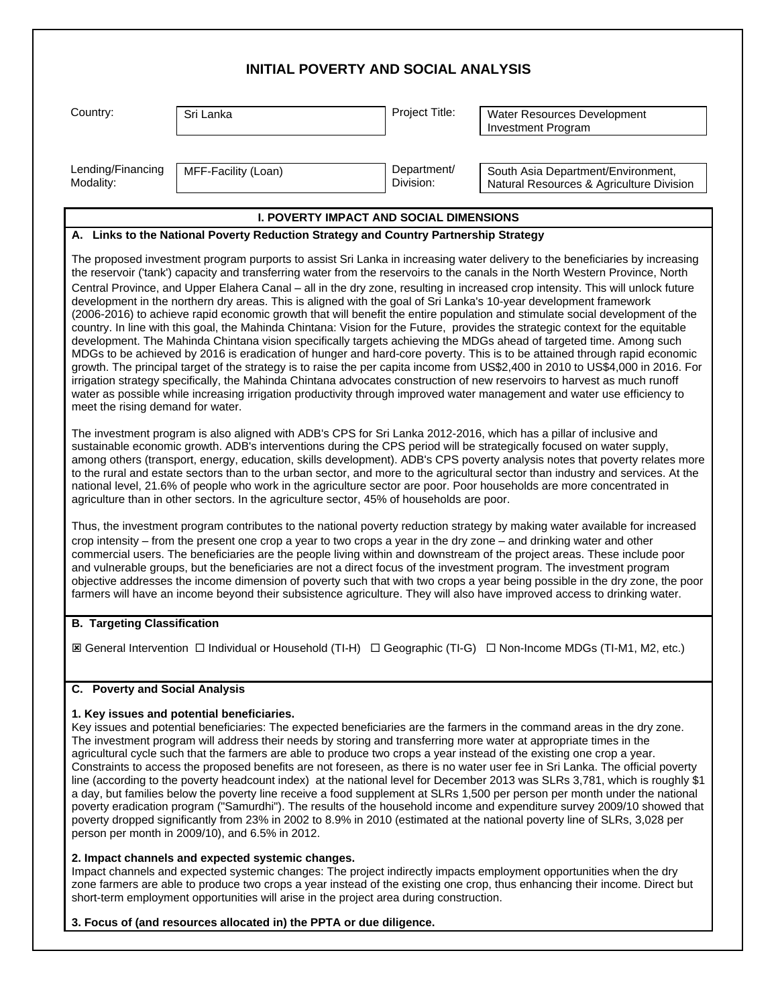| <b>INITIAL POVERTY AND SOCIAL ANALYSIS</b> |                                                                                                                                                                                                                                                                                                                                                                                                                                                                   |                          |                                                                                                                                                                                                                                                                                                                                                                                                                                                                                                                                                                                                                                                                                                                                                                                                                                                                                                                                                                                                                                                                                                                                                                                                                                                                                                                    |  |
|--------------------------------------------|-------------------------------------------------------------------------------------------------------------------------------------------------------------------------------------------------------------------------------------------------------------------------------------------------------------------------------------------------------------------------------------------------------------------------------------------------------------------|--------------------------|--------------------------------------------------------------------------------------------------------------------------------------------------------------------------------------------------------------------------------------------------------------------------------------------------------------------------------------------------------------------------------------------------------------------------------------------------------------------------------------------------------------------------------------------------------------------------------------------------------------------------------------------------------------------------------------------------------------------------------------------------------------------------------------------------------------------------------------------------------------------------------------------------------------------------------------------------------------------------------------------------------------------------------------------------------------------------------------------------------------------------------------------------------------------------------------------------------------------------------------------------------------------------------------------------------------------|--|
| Country:                                   | Sri Lanka                                                                                                                                                                                                                                                                                                                                                                                                                                                         | Project Title:           | Water Resources Development<br><b>Investment Program</b>                                                                                                                                                                                                                                                                                                                                                                                                                                                                                                                                                                                                                                                                                                                                                                                                                                                                                                                                                                                                                                                                                                                                                                                                                                                           |  |
| Lending/Financing<br>Modality:             | MFF-Facility (Loan)                                                                                                                                                                                                                                                                                                                                                                                                                                               | Department/<br>Division: | South Asia Department/Environment,<br>Natural Resources & Agriculture Division                                                                                                                                                                                                                                                                                                                                                                                                                                                                                                                                                                                                                                                                                                                                                                                                                                                                                                                                                                                                                                                                                                                                                                                                                                     |  |
|                                            | <b>I. POVERTY IMPACT AND SOCIAL DIMENSIONS</b>                                                                                                                                                                                                                                                                                                                                                                                                                    |                          |                                                                                                                                                                                                                                                                                                                                                                                                                                                                                                                                                                                                                                                                                                                                                                                                                                                                                                                                                                                                                                                                                                                                                                                                                                                                                                                    |  |
|                                            | A. Links to the National Poverty Reduction Strategy and Country Partnership Strategy                                                                                                                                                                                                                                                                                                                                                                              |                          |                                                                                                                                                                                                                                                                                                                                                                                                                                                                                                                                                                                                                                                                                                                                                                                                                                                                                                                                                                                                                                                                                                                                                                                                                                                                                                                    |  |
| meet the rising demand for water.          | development in the northern dry areas. This is aligned with the goal of Sri Lanka's 10-year development framework                                                                                                                                                                                                                                                                                                                                                 |                          | The proposed investment program purports to assist Sri Lanka in increasing water delivery to the beneficiaries by increasing<br>the reservoir ('tank') capacity and transferring water from the reservoirs to the canals in the North Western Province, North<br>Central Province, and Upper Elahera Canal - all in the dry zone, resulting in increased crop intensity. This will unlock future<br>(2006-2016) to achieve rapid economic growth that will benefit the entire population and stimulate social development of the<br>country. In line with this goal, the Mahinda Chintana: Vision for the Future, provides the strategic context for the equitable<br>development. The Mahinda Chintana vision specifically targets achieving the MDGs ahead of targeted time. Among such<br>MDGs to be achieved by 2016 is eradication of hunger and hard-core poverty. This is to be attained through rapid economic<br>growth. The principal target of the strategy is to raise the per capita income from US\$2,400 in 2010 to US\$4,000 in 2016. For<br>irrigation strategy specifically, the Mahinda Chintana advocates construction of new reservoirs to harvest as much runoff<br>water as possible while increasing irrigation productivity through improved water management and water use efficiency to |  |
|                                            | The investment program is also aligned with ADB's CPS for Sri Lanka 2012-2016, which has a pillar of inclusive and<br>sustainable economic growth. ADB's interventions during the CPS period will be strategically focused on water supply,<br>national level, 21.6% of people who work in the agriculture sector are poor. Poor households are more concentrated in<br>agriculture than in other sectors. In the agriculture sector, 45% of households are poor. |                          | among others (transport, energy, education, skills development). ADB's CPS poverty analysis notes that poverty relates more<br>to the rural and estate sectors than to the urban sector, and more to the agricultural sector than industry and services. At the                                                                                                                                                                                                                                                                                                                                                                                                                                                                                                                                                                                                                                                                                                                                                                                                                                                                                                                                                                                                                                                    |  |
|                                            | crop intensity – from the present one crop a year to two crops a year in the dry zone – and drinking water and other<br>and vulnerable groups, but the beneficiaries are not a direct focus of the investment program. The investment program                                                                                                                                                                                                                     |                          | Thus, the investment program contributes to the national poverty reduction strategy by making water available for increased<br>commercial users. The beneficiaries are the people living within and downstream of the project areas. These include poor<br>objective addresses the income dimension of poverty such that with two crops a year being possible in the dry zone, the poor<br>farmers will have an income beyond their subsistence agriculture. They will also have improved access to drinking water.                                                                                                                                                                                                                                                                                                                                                                                                                                                                                                                                                                                                                                                                                                                                                                                                |  |
| <b>B. Targeting Classification</b>         |                                                                                                                                                                                                                                                                                                                                                                                                                                                                   |                          |                                                                                                                                                                                                                                                                                                                                                                                                                                                                                                                                                                                                                                                                                                                                                                                                                                                                                                                                                                                                                                                                                                                                                                                                                                                                                                                    |  |
|                                            |                                                                                                                                                                                                                                                                                                                                                                                                                                                                   |                          | IS General Intervention □ Individual or Household (TI-H) □ Geographic (TI-G) □ Non-Income MDGs (TI-M1, M2, etc.)                                                                                                                                                                                                                                                                                                                                                                                                                                                                                                                                                                                                                                                                                                                                                                                                                                                                                                                                                                                                                                                                                                                                                                                                   |  |
| C. Poverty and Social Analysis             |                                                                                                                                                                                                                                                                                                                                                                                                                                                                   |                          |                                                                                                                                                                                                                                                                                                                                                                                                                                                                                                                                                                                                                                                                                                                                                                                                                                                                                                                                                                                                                                                                                                                                                                                                                                                                                                                    |  |
|                                            | 1. Key issues and potential beneficiaries.<br>The investment program will address their needs by storing and transferring more water at appropriate times in the<br>agricultural cycle such that the farmers are able to produce two crops a year instead of the existing one crop a year.<br>person per month in 2009/10), and 6.5% in 2012.<br>2. Impact channels and expected systemic changes.                                                                |                          | Key issues and potential beneficiaries: The expected beneficiaries are the farmers in the command areas in the dry zone.<br>Constraints to access the proposed benefits are not foreseen, as there is no water user fee in Sri Lanka. The official poverty<br>line (according to the poverty headcount index) at the national level for December 2013 was SLRs 3,781, which is roughly \$1<br>a day, but families below the poverty line receive a food supplement at SLRs 1,500 per person per month under the national<br>poverty eradication program ("Samurdhi"). The results of the household income and expenditure survey 2009/10 showed that<br>poverty dropped significantly from 23% in 2002 to 8.9% in 2010 (estimated at the national poverty line of SLRs, 3,028 per                                                                                                                                                                                                                                                                                                                                                                                                                                                                                                                                  |  |
|                                            |                                                                                                                                                                                                                                                                                                                                                                                                                                                                   |                          | Impact channels and expected systemic changes: The project indirectly impacts employment opportunities when the dry<br>zone farmers are able to produce two crops a year instead of the existing one crop, thus enhancing their income. Direct but                                                                                                                                                                                                                                                                                                                                                                                                                                                                                                                                                                                                                                                                                                                                                                                                                                                                                                                                                                                                                                                                 |  |

zone farmers are able to produce two crops a year instead of the existing one crop, thus enhancing their income. Direct but short-term employment opportunities will arise in the project area during construction.

**3. Focus of (and resources allocated in) the PPTA or due diligence.**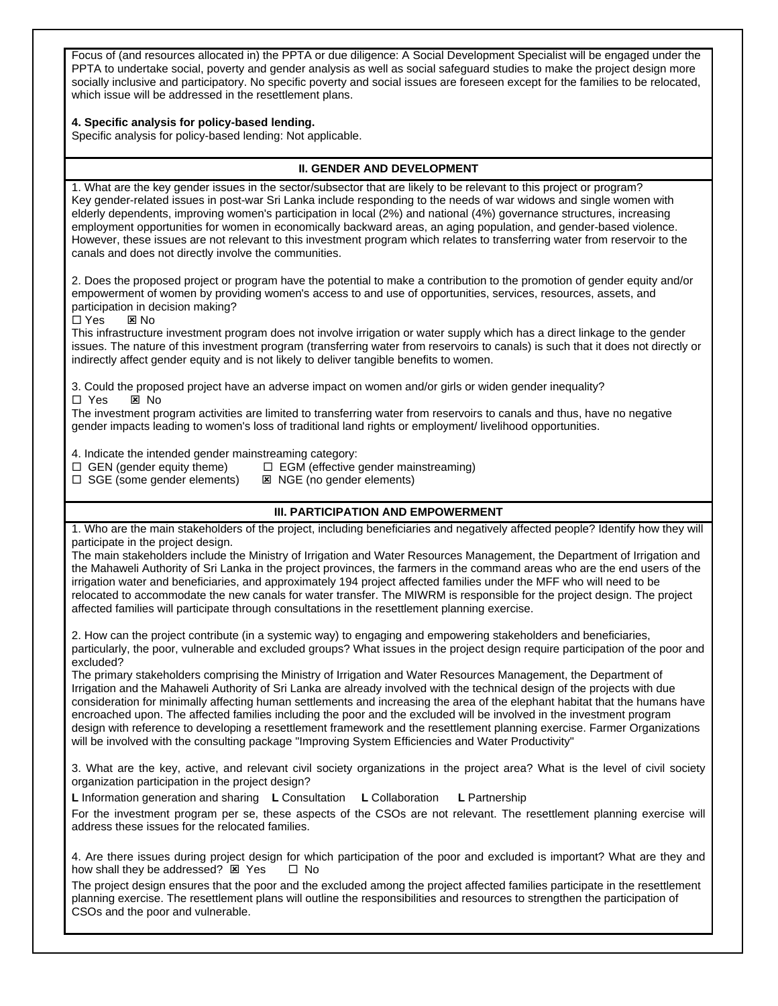Focus of (and resources allocated in) the PPTA or due diligence: A Social Development Specialist will be engaged under the PPTA to undertake social, poverty and gender analysis as well as social safeguard studies to make the project design more socially inclusive and participatory. No specific poverty and social issues are foreseen except for the families to be relocated, which issue will be addressed in the resettlement plans.

## **4. Specific analysis for policy-based lending.**

Specific analysis for policy-based lending: Not applicable.

## **II. GENDER AND DEVELOPMENT**

1. What are the key gender issues in the sector/subsector that are likely to be relevant to this project or program? Key gender-related issues in post-war Sri Lanka include responding to the needs of war widows and single women with elderly dependents, improving women's participation in local (2%) and national (4%) governance structures, increasing employment opportunities for women in economically backward areas, an aging population, and gender-based violence. However, these issues are not relevant to this investment program which relates to transferring water from reservoir to the canals and does not directly involve the communities.

2. Does the proposed project or program have the potential to make a contribution to the promotion of gender equity and/or empowerment of women by providing women's access to and use of opportunities, services, resources, assets, and participation in decision making?

 $\Box$  Yes  $\Box$  No

This infrastructure investment program does not involve irrigation or water supply which has a direct linkage to the gender issues. The nature of this investment program (transferring water from reservoirs to canals) is such that it does not directly or indirectly affect gender equity and is not likely to deliver tangible benefits to women.

3. Could the proposed project have an adverse impact on women and/or girls or widen gender inequality? □ Yes ⊠ No

The investment program activities are limited to transferring water from reservoirs to canals and thus, have no negative gender impacts leading to women's loss of traditional land rights or employment/ livelihood opportunities.

4. Indicate the intended gender mainstreaming category:<br> $\Box$  GEN (gender equity theme)  $\Box$  EGM (effective

 $\Box$  EGM (effective gender mainstreaming)  $\square$  SGE (some gender elements)  $\square$  NGE (no gender elements)

## **III. PARTICIPATION AND EMPOWERMENT**

1. Who are the main stakeholders of the project, including beneficiaries and negatively affected people? Identify how they will participate in the project design.

The main stakeholders include the Ministry of Irrigation and Water Resources Management, the Department of Irrigation and the Mahaweli Authority of Sri Lanka in the project provinces, the farmers in the command areas who are the end users of the irrigation water and beneficiaries, and approximately 194 project affected families under the MFF who will need to be relocated to accommodate the new canals for water transfer. The MIWRM is responsible for the project design. The project affected families will participate through consultations in the resettlement planning exercise.

2. How can the project contribute (in a systemic way) to engaging and empowering stakeholders and beneficiaries, particularly, the poor, vulnerable and excluded groups? What issues in the project design require participation of the poor and excluded?

The primary stakeholders comprising the Ministry of Irrigation and Water Resources Management, the Department of Irrigation and the Mahaweli Authority of Sri Lanka are already involved with the technical design of the projects with due consideration for minimally affecting human settlements and increasing the area of the elephant habitat that the humans have encroached upon. The affected families including the poor and the excluded will be involved in the investment program design with reference to developing a resettlement framework and the resettlement planning exercise. Farmer Organizations will be involved with the consulting package "Improving System Efficiencies and Water Productivity"

3. What are the key, active, and relevant civil society organizations in the project area? What is the level of civil society organization participation in the project design?

**L** Information generation and sharing **L** Consultation **L** Collaboration **L** Partnership

For the investment program per se, these aspects of the CSOs are not relevant. The resettlement planning exercise will address these issues for the relocated families.

4. Are there issues during project design for which participation of the poor and excluded is important? What are they and how shall they be addressed?  $\boxtimes$  Yes  $\Box$  No

The project design ensures that the poor and the excluded among the project affected families participate in the resettlement planning exercise. The resettlement plans will outline the responsibilities and resources to strengthen the participation of CSOs and the poor and vulnerable.